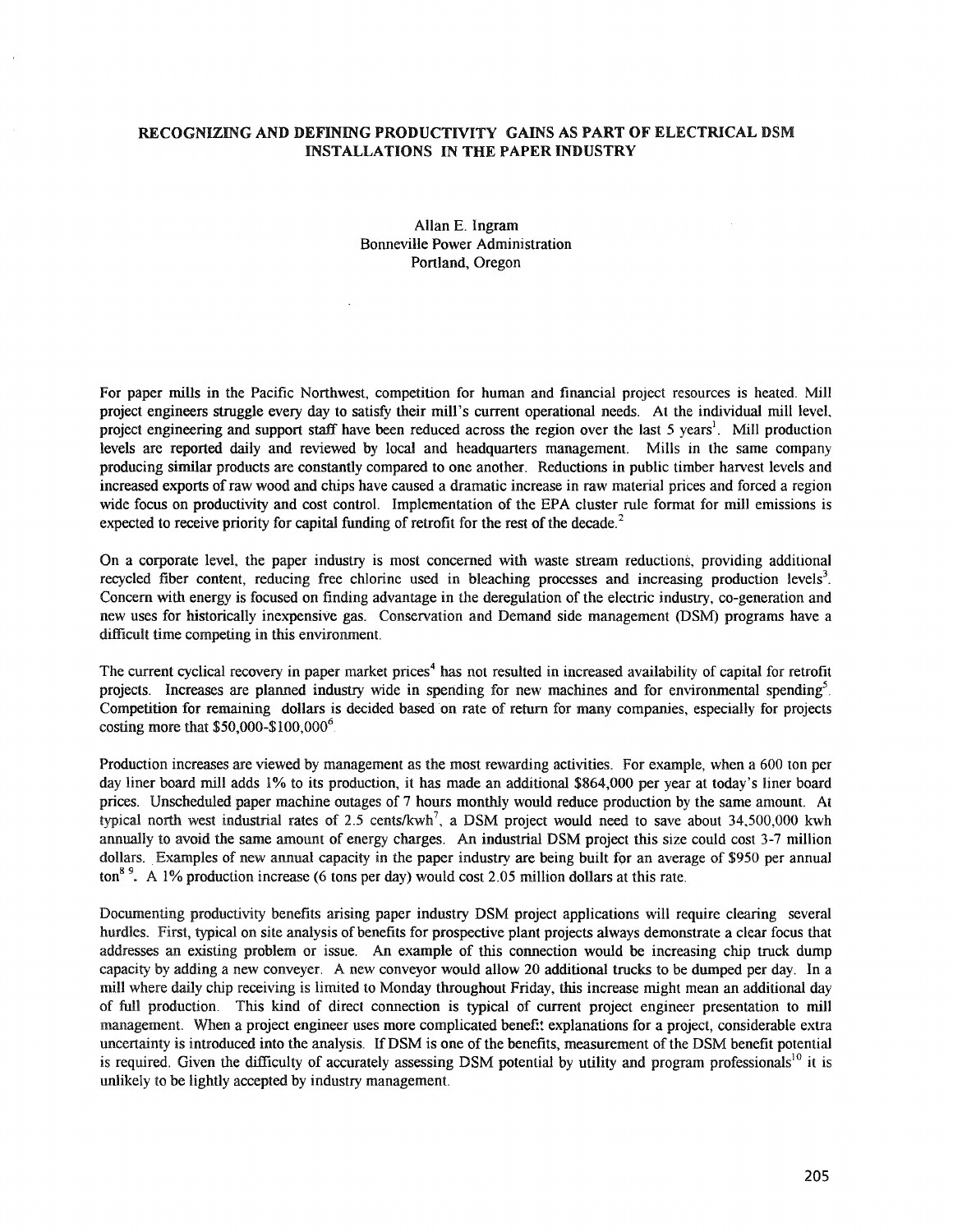## RECOGNIZING AND DEFINING PRODUCTIVITY GAINS AS PART OF ELECTRICAL DSM INSTALLATIONS IN THE PAPER INDUSTRY

## Allan E. Ingram Bonneville Power Administration Portland, Oregon

For paper mills in the Pacific Northwest, competition for human and financial project resources is heated. Mill project engineers struggle every day to satisfy their mill's current operational needs. At the individual mill level, project engineering and support staff have been reduced across the region over the last 5 years<sup>1</sup>. Mill production levels are reported daily and reviewed by local and headquarters management. Mills in the same company producing similar products are constantly compared to one another. Reductions in public timber harvest levels and increased exports ofraw wood and chips have caused a dramatic increase in raw material prices and forced a region wide focus on productivity and cost control. Implementation of the EPA cluster rule format for mill emissions is expected to receive priority for capital funding of retrofit for the rest of the decade.<sup>2</sup>

On a corporate level, the paper industry is most concerned with waste stream reductions, providing additional recycled fiber content, reducing free chlorine used in bleaching processes and increasing production levels<sup>3</sup>. Concern with energy is focused on finding advantage in the deregulation of the electric industry, co-generation and new uses for historically inexpensive gas. Conservation and Demand side management (DSM) programs have a difficult time competing in this environment.

The current cyclical recovery in paper market prices<sup>4</sup> has not resulted in increased availability of capital for retrofit projects. Increases are planned industry wide in spending for new machines and for environmental spending<sup>5</sup>. Competition for remaining dollars is decided based 'on rate of return for many companies, especially for projects costing more that  $$50,000 - $100,000^6$ .

Production increases are viewed by management as the most rewarding activities. For example, when a 600 ton per day liner board mill adds 1% to its production, it has made an additional \$864,000 per year at today's liner board prices. Unscheduled paper machine outages of 7 hours monthly would reduce production by the same amount. At typical north west industrial rates of 2.5 cents/kwh<sup>7</sup>, a DSM project would need to save about  $34,500,000$  kwh annually to avoid the same amount of energy charges. An industrial DSM project this size could cost 3-7 million dollars. Examples of new annual capacity in the paper industry are being built for an average of \$950 per annual ton<sup>89</sup>. A 1% production increase (6 tons per day) would cost 2.05 million dollars at this rate.

Documenting productivity benefits arising paper industry DSM project applications will require clearing several hurdles. First, typical on site analysis of benefits for prospective plant projects always demonstrate a clear focus that addresses an existing problem or issue. An example of this connection would be increasing chip truck dump capacity by adding a new conveyer. A new conveyor would allow 20 additional trucks to be dumped per day. In a mill where daily chip receiving is limited to Monday throughout Friday, this increase might mean an additional day of full production. This kind of direct connection is typical of current project engineer presentation to min management. When a project engineer uses more complicated benefit explanations for a project, considerable extra uncertainty is introduced into the analysis. IfDSM is one ofthe benefits, measurement ofthe DSM benefit potential is required. Given the difficulty of accurately assessing DSM potential by utility and program professionals<sup>10</sup> it is unlikely to be lightly accepted by industry management.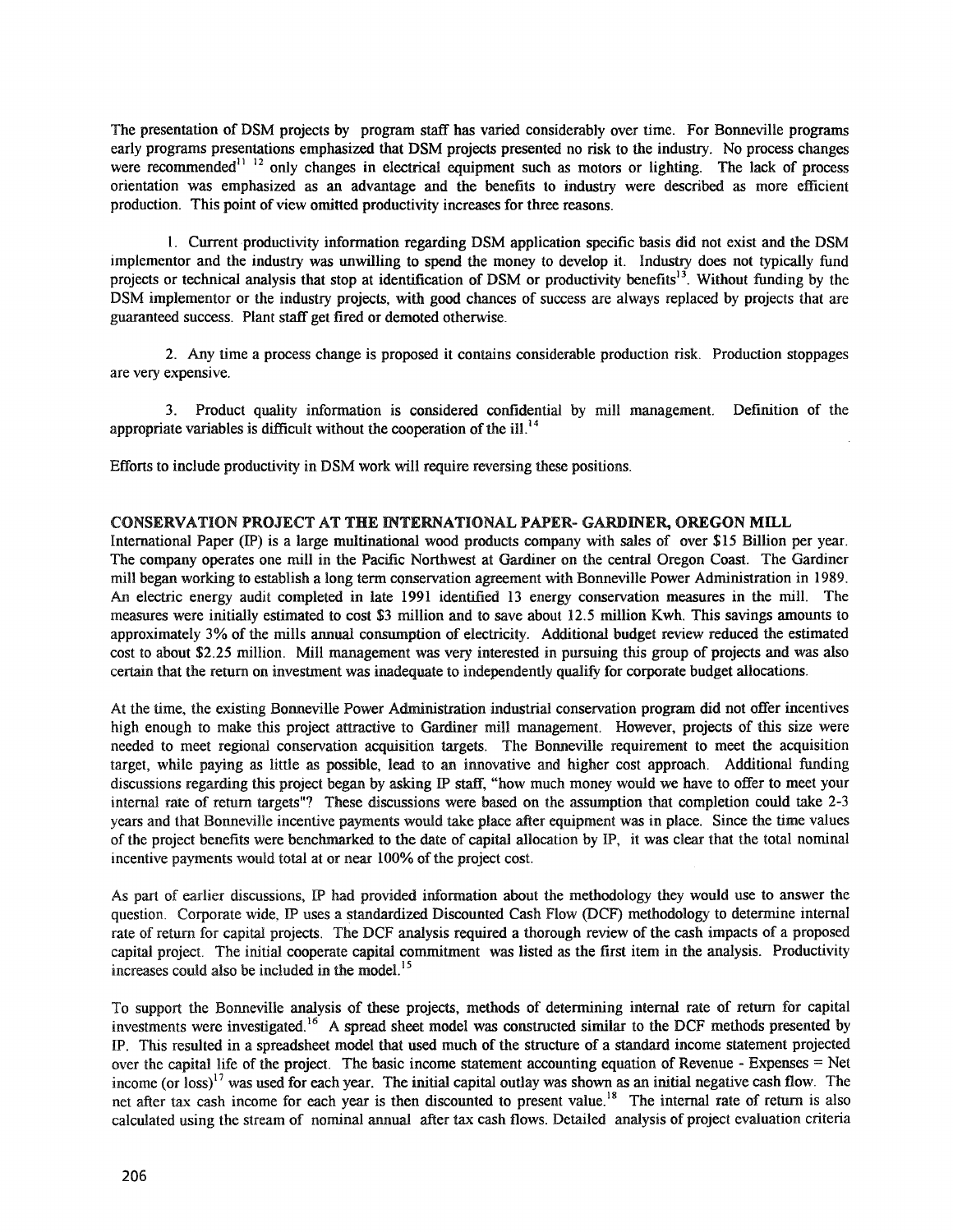The presentation of DSM projects by program staff has varied considerably over time. For Bonneville programs early programs presentations emphasized that DSM projects presented no risk to the industry. No process changes were recommended<sup>11 12</sup> only changes in electrical equipment such as motors or lighting. The lack of process orientation was emphasized as an advantage and the benefits to industry were described as more efficient production. This point of view omitted productivity increases for three reasons.

1. Current productivity information regarding DSM application specific basis did not exist and the DSM implementor and the industry was unwilling to spend the money to develop it. Industry does not typically fund projects or technical analysis that stop at identification of DSM or productivity benefits<sup>13</sup>. Without funding by the DSM implementor or the industry projects, with good chances of success are always replaced by projects that are guaranteed success. Plant staff get fired or demoted otherwise.

2. Any time a process change is proposed it contains considerable production risk. Production stoppages are very expensive.

3. Product quality information is considered confidential by mill management. Definition of the appropriate variables is difficult without the cooperation of the ill.<sup>14</sup>

Efforts to include productivity in DSM work will require reversing these positions.

### CONSERVATION PROJECT AT THE INTERNATIONAL PAPER- GARDINER, OREGON MILL

International Paper (IP) is a large multinational wood products company with sales of over \$15 Billion per year. The company operates one mill in the Pacific Northwest at Gardiner on the central Oregon Coast. The Gardiner mill began working to establish a long term conservation agreement with Bonneville Power Administration in 1989. An electric energy audit completed in late 1991 identified 13 energy conservation measures in the mill. The measures were initially estimated to cost \$3 million and to save about 12.5 million Kwh. This savings amounts to approximately 3% of the mills annual consumption of electricity. Additional budget review reduced the estimated cost to about \$2.25 million. Mill management was very interested in pursuing this group of projects and was also certain that the return on investment was inadequate to independently qualify for corporate budget allocations.

At the time, the existing Bonneville Power Administration industrial conservation program did not offer incentives high enough to make this project attractive to Gardiner mill management. However, projects of this size were needed to meet regional conservation acquisition targets. The Bonneville requirement to meet the acquisition target, while paying as little as possible, lead to an innovative and higher cost approach. Additional funding discussions regarding this project began by asking IP staff, "how much money would we have to offer to meet your internal rate of return targets"? These discussions were based on the assumption that completion could take 2-3 years and that Bonneville incentive payments would take place after eqwpment was in place. Since the time values of the project benefits were benchmarked to the date of capital allocation by IF, it was clear that the total nominal incentive payments would total at or near  $100\%$  of the project cost.

As part of earlier discussions, IP had provided information about the methodology they would use to answer the question. Corporate wide, IF uses a standardized Discounted Cash Flow (DCF) methodology to determine internal rate of return for capital projects. The DCF analysis required a thorough review of the cash impacts of a proposed capital project. The initial cooperate capital commitment was listed as the first item in the analysis. Productivity increases could also be included in the model. <sup>15</sup>

To support the Bonneville analysis of these projects, methods of determining internal rate of return for capital investments were investigated.<sup>16</sup> A spread sheet model was constructed similar to the DCF methods presented by IF. This resulted in a spreadsheet model that used much of the structure of a standard income statement projected over the capital life of the project. The basic income statement accounting equation of Revenue - Expenses = Net income (or loss)<sup>17</sup> was used for each year. The initial capital outlay was shown as an initial negative cash flow. The net after tax cash income for each year is then discounted to present value.<sup>18</sup> The internal rate of return is also calculated using the stream of nominal annual after tax cash flows. Detailed analysis of project evaluation criteria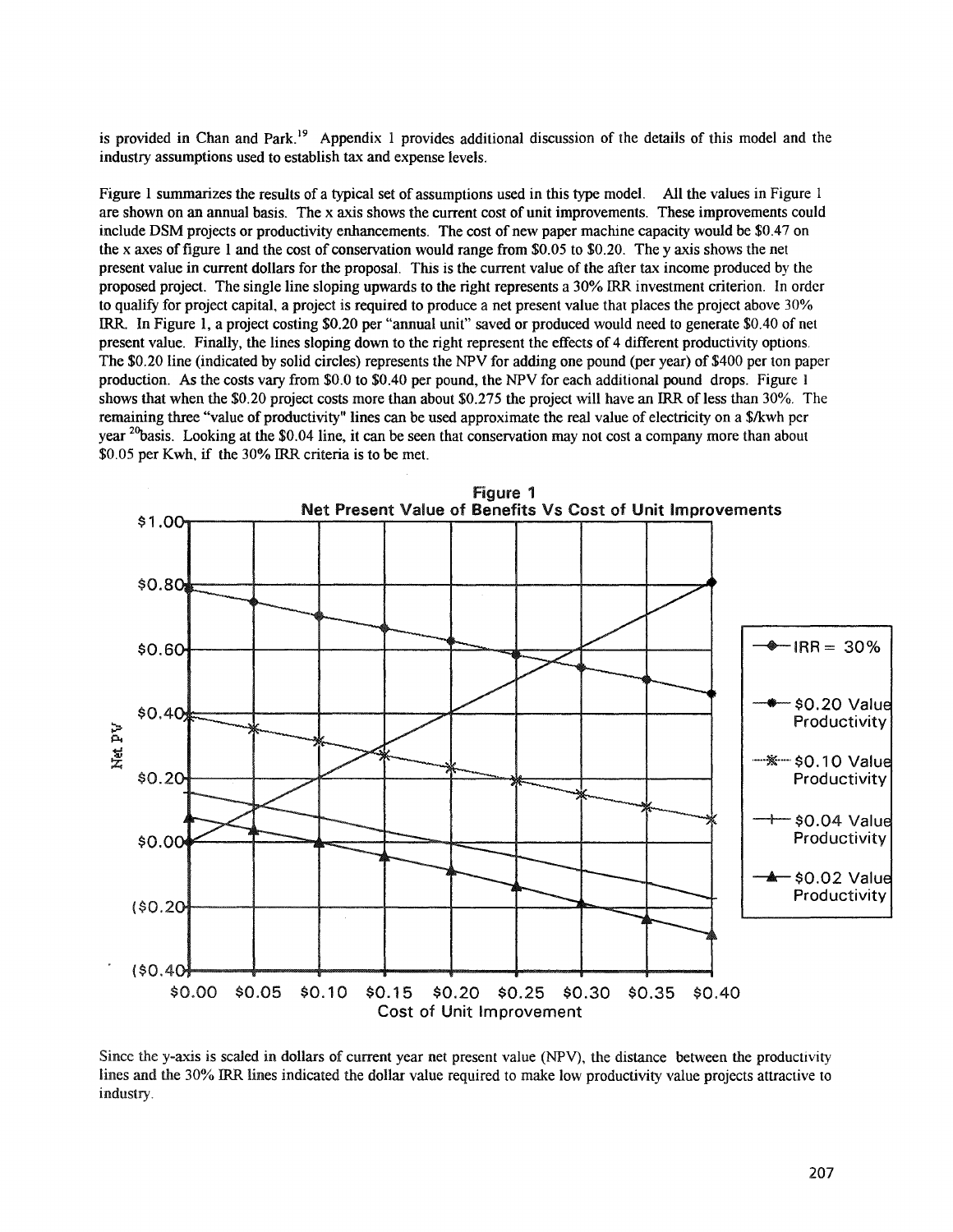is provided in Chan and Park.<sup>19</sup> Appendix 1 provides additional discussion of the details of this model and the industry assumptions used to establish tax and expense levels.

Figure 1 summarizes the results of a typical set of assumptions used in this type model. All the values in Figure 1 are shown on an annual basis. The x axis shows the current cost of unit improvements. These improvements could include DSM projects or productivity enhancements. The cost of new paper machine capacity would be \$0.47 on the x axes offigure 1 and the cost of conservation would range from \$0.05 to \$0.20. The y axis shows the net present value in current dollars for the proposal. This is the current value of the after tax income produced by the proposed project. The single line sloping upwards to the right represents a 30% IRR investment criterion. In order to qualify for project capital, a project is required to produce a net present value that places the project above 30% IRR. In Figure 1, a project costing \$0.20 per "annual unit" saved or produced would need to generate \$0.40 of net present value. Finally, the lines sloping down to the right represent the effects of 4 different productivity options. The \$0.20 line (indicated by solid circles) represents the NPV for adding one pound (per year) of \$400 per ton paper production. As the costs vary from \$0.0 to \$0.40 per pound, the NPV for each additional pound drops. Figure I shows that when the \$0.20 project costs more than about \$0.275 the project will have an IRR of less than 30%. The remaining three "value of productivity" lines can be used approximate the real value of electricity on a \$/kwh per year  $^{20}$ basis. Looking at the \$0.04 line, it can be seen that conservation may not cost a company more than about \$0.05 per Kwh, if the 30% IRR criteria is to be met.



Since the y-axis is scaled in dollars of current year net present value (NPV), the distance between the productivity lines and the 30% IRR lines indicated the dollar value required to make low productivity value projects attractive to industry.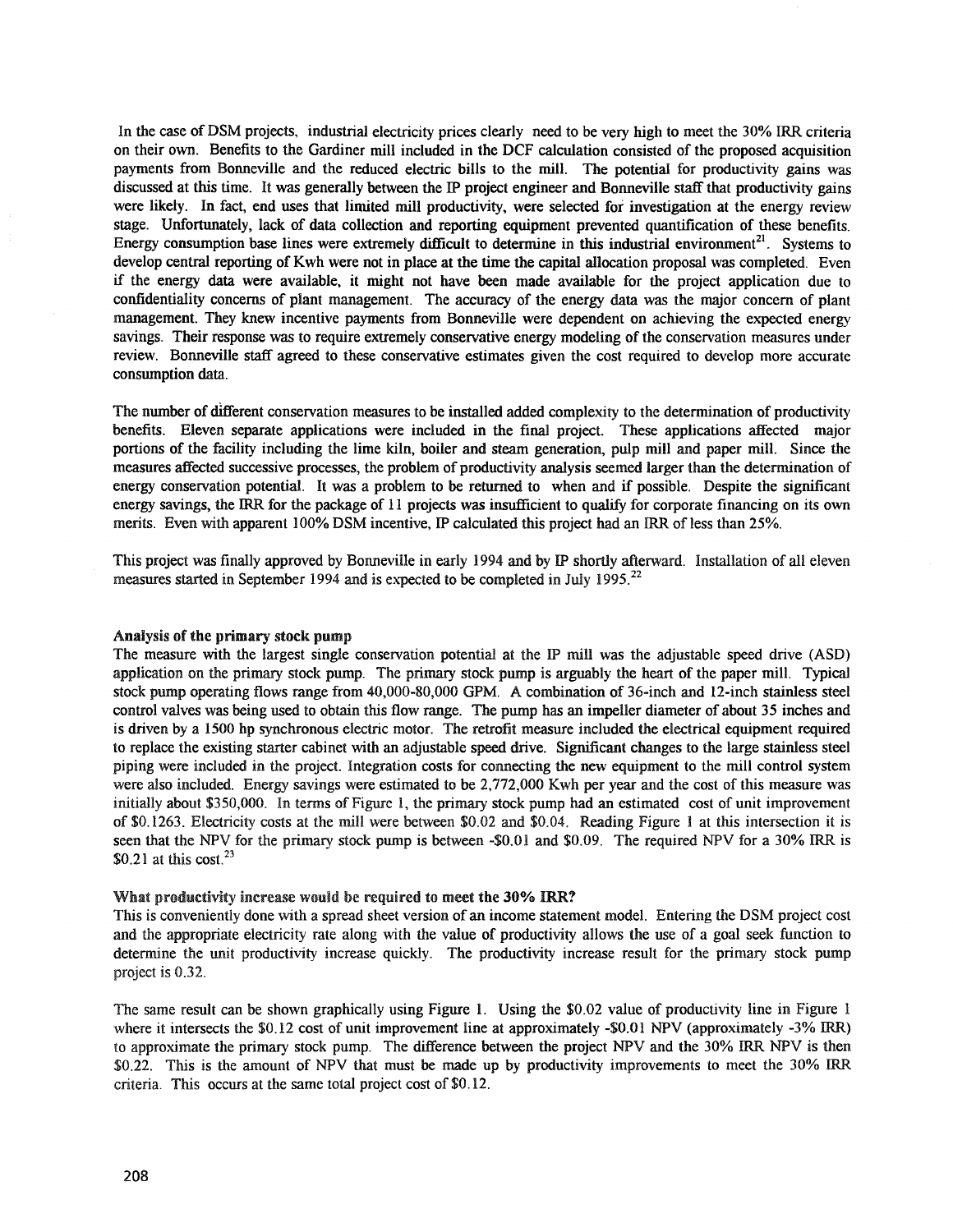In the case of DSM projects, industrial electricity prices clearly need to be very high to meet the 30% IRR criteria on their own. Benefits to the Gardiner mill included in the DCF calculation consisted of the proposed acquisition payments from Bonneville and the reduced electric bills to the mill. The potential for productivity gains was discussed at this time. It was generally between the IP project engineer and Bonneville staff that productivity gains were likely. In fact, end uses that limited mill productivity, were selected for investigation at the energy review stage. Unfortunately, lack of data collection and reporting equipment prevented quantification of these benefits. Energy consumption base lines were extremely difficult to determine in this industrial environment<sup>21</sup>. Systems to develop central reporting of Kwh were not in place at the time the capital allocation proposal was completed. Even if the energy data were available, it might not have been made available for the project application due to confidentiality concerns of plant management. The accuracy of the energy data was the major concern of plant management. They knew incentive payments from Bonneville were dependent on achieving the expected energy savings. Their response was to require extremely conservative energy modeling of the conservation measures under review. Bonneville staff agreed to these conservative estimates given the cost required to develop more accurate consumption data.

The number of different conservation measures to be installed added complexity to the determination of productivity benefits: Eleven separate applications were included in the final project. These applications affected major portions of the facility including the lime kiln, boiler and steam generation, pulp mill and paper mill. Since the measures affected successive processes, the problem of productivity analysis seemed larger than the detennination of energy conservation potential. It was a problem to be returned to when and if possible. Despite the significant energy savings, the IRR for the package of 11 projects was insufficient to qualify for corporate financing on its own merits. Even with apparent 100% DSM incentive, IF calculated this project had an IRR of less than 25%.

This project was finally approved by Bonneville in early 1994 and by IP shortly afterward. Installation of all eleven measures started in September 1994 and is expected to be completed in July 1995.<sup>22</sup>

### Analysis of the primary stock pump

The measure with the largest single conservation potential at the IP mill was the adjustable speed drive (ASD) application on the primary stock pump. The primary stock pump is arguably the heart of the paper mill. Typical stock pump operating flows range from 40,000-80,000 GPM. A combination of 36-inch and 12-inch stainless steel control valves was being used to obtain this flow range. The pump has an impeller diameter of about 35 inches and is driven by a 1500 hp synchronous electric motor. The retrofit measure included the electrical equipment required to replace the existing starter cabinet with an adjustable speed drive. Significant changes to the large stainless steel piping were included in the project. Integration costs for connecting the new equipment to the mill control system were also included. Energy savings were estimated to be 2,772,000 Kwh per year and the cost of this measure was initially about \$350,000. In terms of Figure 1, the primary stock pump had an estimated cost of unit improvement of \$0.1263. Electricity costs at the mill were between \$0.02 and \$0.04. Reading Figure 1 at this intersection it is seen that the NPV for the primary stock pump is between -\$0.01 and \$0.09. The required NPV for a 30% IRR is  $$0.21$  at this cost.<sup>23</sup>

### What productivity increase would be required to meet the 30% IRR?

This is conveniently done with a spread sheet version of an income statement model. Entering the DSM project cost and the appropriate electricity rate along with the value of productivity allows the use of a goal seek function to determine the unit productivity increase quickly. The productivity increase result for the primary stock pump project is 0.32.

The same result can be shown graphically using Figure 1. Using the \$0.02 value of productivity line in Figure 1 where it intersects the \$0.12 cost of unit improvement line at approximately -\$0.01 NPV (approximately -3% IRR) to approximate the primary stock pump. The difference between the project NPV and the 30% IRR NPV is then \$0.22. This is the amount of NPV that must be made up by productivity improvements to meet the 30% IRR criteria. This occurs at the same total project cost of \$0.12.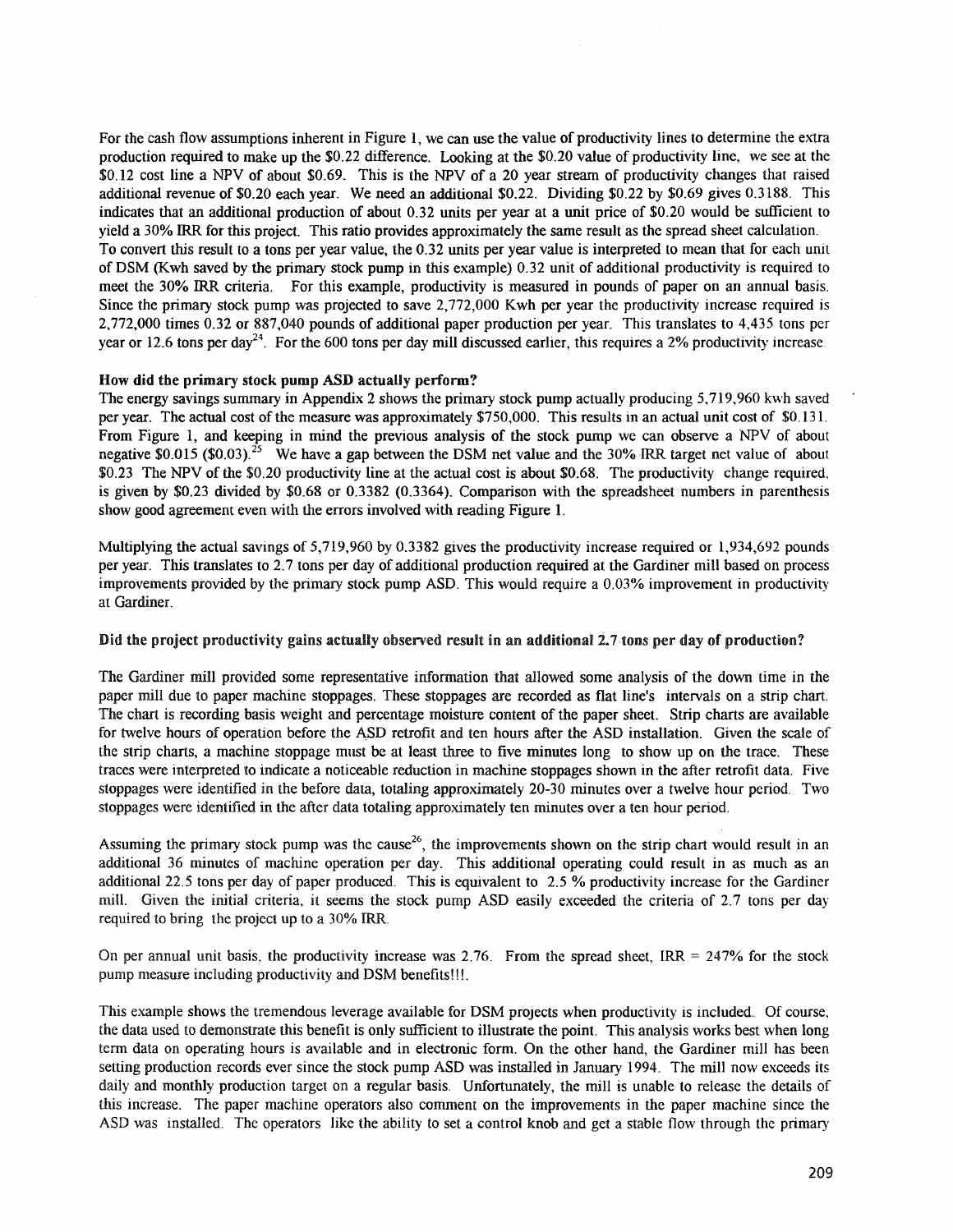For the cash flow assumptions inherent in Figure I, we can use the value of productivity lines to determine the extra production required to make up the \$0.22 difference. Looking at the \$0.20 value of productivity line, we see at the \$0.12 cost line a NPV of about \$0.69. This is the NPV of a 20 year stream of productivity changes that raised additional revenue of \$0.20 each year. We need an additional \$0~22. Dividing \$0.22 by \$0.69 gives 0.3188. This indicates that an additional production of about 0.32 units per year at a unit price of \$0.20 would be sufficient to yield a 30% IRR for this project. This ratio provides approximately the same result as the spread sheet calculation. To convert this result to a tons per year value, the 0.32 units per year value is interpreted to mean that for each unit of DSM (Kwh saved by the primary stock pump in this example) 0.32 unit of additional productivity is required to meet the 30% IRR criteria. For this example, productivity is measured in pounds of paper on an annual basis. Since the primary stock pump was projected to save 2,772,000 Kwh per year the productivity increase required is 2,772,000 times 0.32 or 887,040 pounds of additional paper production per year. This translates to 4,435 tons per year or 12.6 tons per day<sup>24</sup>. For the 600 tons per day mill discussed earlier, this requires a 2% productivity increase.

## How did the primary stock pump ASD actually perform?

The energy savings summary in Appendix 2 shows the primary stock pump actually producing 5,719,960 kwh saved per year. The actual cost of the measure was approximately \$750,000. This results in an actual unit cost of \$0.131. From Figure 1, and keeping in mind the previous analysis of the stock pump we can observe a NPV of about negative \$0.015 (\$0.03).<sup>25</sup> We have a gap between the DSM net value and the 30% IRR target net value of about  $$0.23$  The NPV of the \$0.20 productivity line at the actual cost is about \$0.68. The productivity change required, is given by \$0.23 divided by \$0.68 or 0.3382 (0.3364). Comparison with the spreadsheet numbers in parenthesis show good agreement even with the errors involved with reading Figure 1.

Multiplying the actual savings of 5,719,960 by 0.3382 gives the productivity increase required or 1,934,692 pounds per year. This translates to 2.7 tons per day of additional production required at the Gardiner mill based on process improvements provided by the primary stock pump ASD. This would require a 0.03% improvement in productivity at Gardiner.

### Did the project productivity gains actually observed result in an additional 2.7 tons per day of production?

The Gardiner mill provided some representative information that allowed some analysis of the down time in the paper mill due to paper machine stoppages. These stoppages are recorded as flat line's intervals on a strip chart. The chart is recording basis weight and percentage moisture content of the paper sheet. Strip charts are available for twelve hours of operation before the ASD retrofit and ten hours after the ASD installation. Given the scale of the strip charts, a machine stoppage must be at least three to five minutes long to show up on the trace. These traces were interpreted to indicate a noticeable reduction in machine stoppages shown in the after retrofit data. Five stoppages were identified in the before data, totaling approximately 20-30 minutes over a twelve hour period. Two stoppages were identified in the after data totaling approximately ten minutes over a ten hour period.

Assuming the primary stock pump was the cause<sup>26</sup>, the improvements shown on the strip chart would result in an additional 36 minutes of machine operation per day. This additional operating could result in as much as an additional 22.5 tons per day of paper produced. This is equivalent to 2.5 % productivity increase for the Gardiner mill. Given the initial criteria, it seems the stock pump ASD easily exceeded the criteria of 2.7 tons per day required to bring the project up to a 30% IRR.

On per annual unit basis, the productivity increase was 2.76. From the spread sheet, IRR =  $247%$  for the stock pump measure including productivity and DSM benefits!!!.

'fhis example shows the tremendous leverage available for DSM projects when productivity is included. Of course, the data used to demonstrate this benefit is only sufficient to illustrate the point. This analysis works best when long tenn data on operating hours is available and in electronic form. On the other hand, the Gardiner mill has been setting production records ever since the stock pump ASD was installed in January 1994. The mill now exceeds its daily and monthly production target on a regular basis. Unfortunately, the mill is unable to release the details of this increase. The paper machine operators also comment on the improvements in the paper machine since the ASD was installed. The operators like the ability to set a control knob and get a stable flow through the primary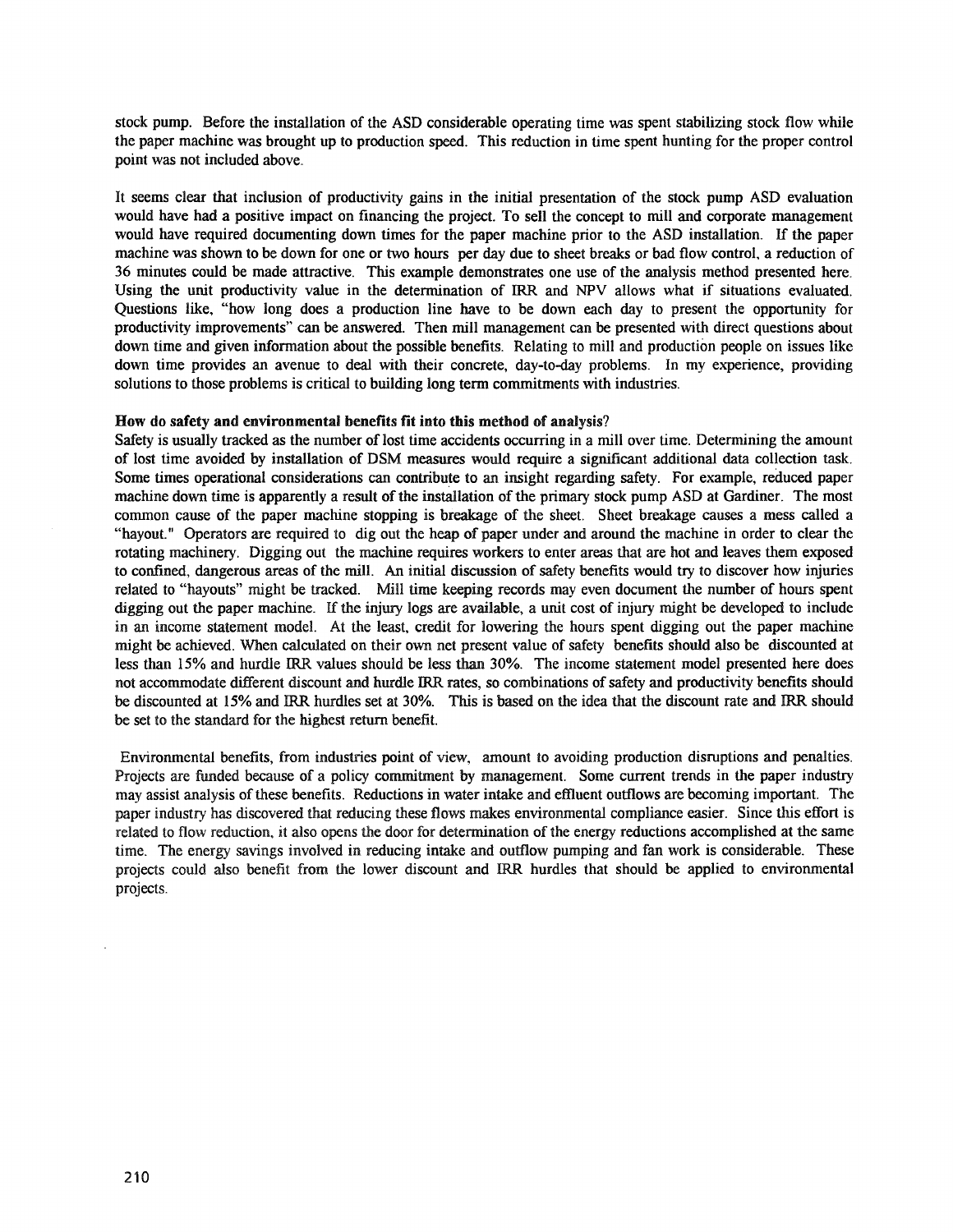stock pump. Before the installation of the ASD considerable operating time was spent stabilizing stock flow while the paper machine was brought up to production speed. This reduction in time spent hunting for the proper control point was not included above.

It seems clear that inclusion of productivity gains in the initial presentation of the stock pump ASD evaluation would have had a positive impact on financing the project. To sell the concept to mill and corporate management would have required documenting down times for the paper machine prior to the ASD installation. If the paper machine was shown to be down for one or two hours per day due to sheet breaks or bad flow control, a reduction of 36 minutes could be made attractive. This example demonstrates one use of the analysis method presented here. Using the unit productivity value in the determination of IRR and NPV allows what if situations evaluated. Questions like, "how long does a production line have to be down each day to present the opportunity for productivity improvements" can be answered. Then mill management can be presented with direct questions about down time and given information about the possible benefits. Relating to mill and production people on issues like down time provides an avenue to deal with their concrete, day-to-day problems. In my experience, providing solutions to those problems is critical to building long term commitments with industries.

### How do safety and environmental benefits fit into this method of analysis?

Safety is usually tracked as the number of lost time accidents occurring in a mill over time. Determining the amount of lost time avoided by installation of DSM measures would require a significant additional data collection task. Some times operational considerations can contribute to an insight regarding safety. For example, reduced paper machine down time is apparently a result of the installation of the primary stock pump ASD at Gardiner. The most common cause of the paper machine stopping is breakage of the sheet. Sheet breakage causes a mess called a "hayout." Operators are required to dig out the heap of paper under and around the machine in order to clear the rotating machinery. Digging out the machine requires workers to enter areas that are hot and leaves them exposed to confined, dangerous areas of the mill. An initial discussion of safety benefits would try to discover how injuries related to "hayouts" might be tracked. Mill time keeping records may even document the number of hours spent digging out the paper machine. If the injury logs are available, a unit cost of injury might be developed to include in an income statement model. At the least, credit for lowering the hours spent digging out the paper machine might be achieved. When calculated on their own net present value of safety benefits should also be discounted at less than 15% and hurdle IRR values should be less than 30%. The income statement model presented here does not accommodate different discount and hurdle IRR rates, so combinations ofsafety and productivity benefits should be discounted at 15% and IRR hurdles set at 30%. This is based on the idea that the discount rate and IRR should be set to the standard for the highest return benefit.

Environmental benefits, from industries point of view, amount to avoiding production disruptions and penalties. Projects are funded because of a policy commitment by management. Some current trends in the paper industry may assist analysis ofthese benefits. Reductions in water intake and effluent outflows are becoming important. The paper industry has discovered that reducing these flows makes environmental compliance easier. Since this effort is related to flow reduction, it also opens the door for detennination of the energy reductions accomplished at the same time. The energy savings involved in reducing intake and outflow pumping and fan work is considerable. These projects could also benefit from the lower discount and IRR hurdles that should be applied to environmental projects.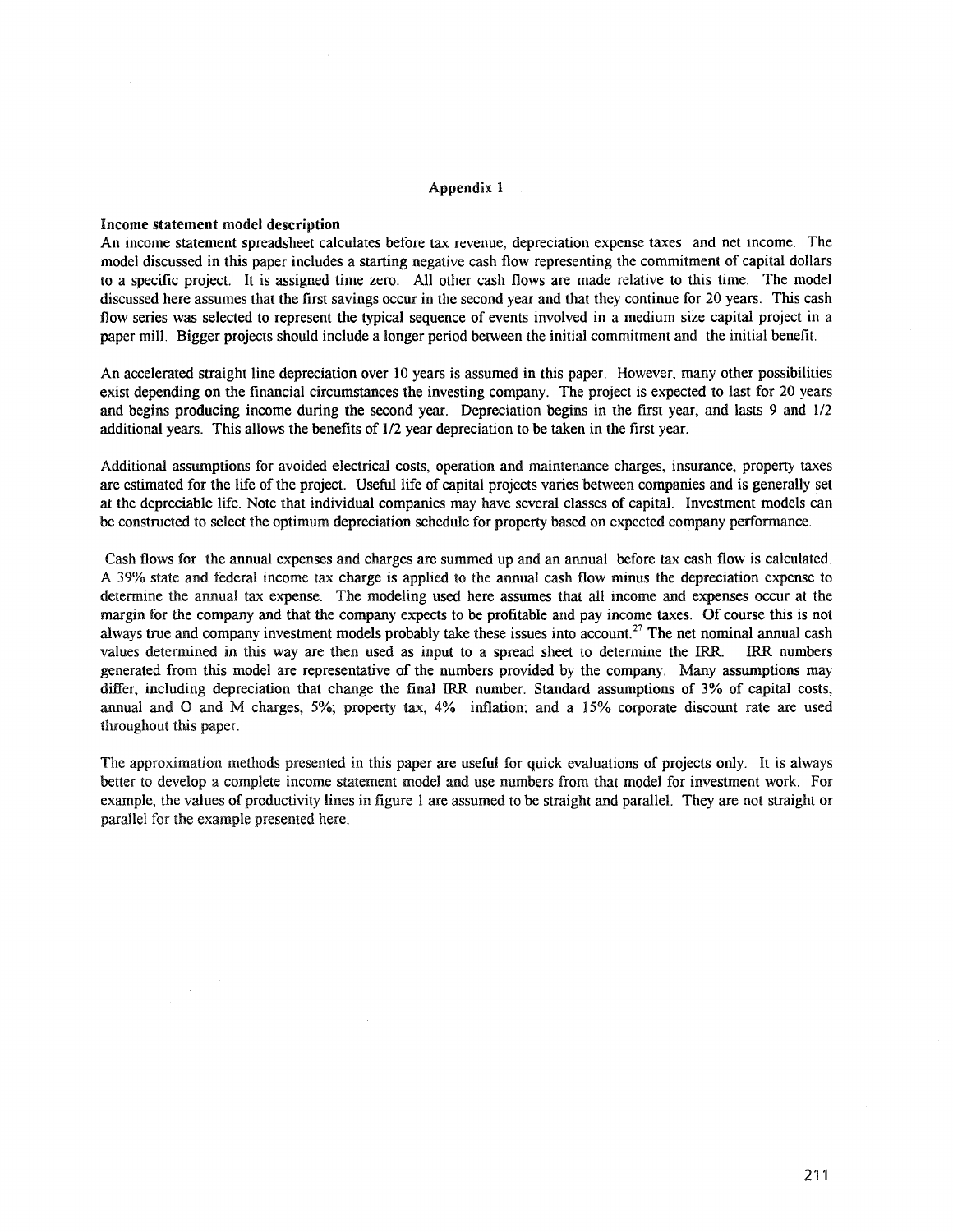#### Appendix 1

#### Income statement model description

An income statement spreadsheet calculates before tax revenue, depreciation expense taxes and net income. The model discussed in this paper includes a starting negative cash flow representing the commitment of capital dollars to a specific project. It is assigned time zero. All other cash flows are made relative to this time. The model discussed here assumes that the first savings occur in the second year and that they continue for 20 years. This cash flow series was selected to represent the typical sequence of events involved in a medium size capital project in a paper mill. Bigger projects should include a longer period between the initial commitment and the initial benefit.

An accelerated straight line depreciation over 10 years is assumed in this paper. However, many other possibilities exist depending on the financial circumstances the investing company. The project is expected to last for 20 years and begins producing income during the second year. Depreciation begins in the first year, and lasts 9 and 1/2 additional years. This allows the benefits of 1/2 year depreciation to be taken in the first year.

Additional assumptions for avoided electrical costs, operation and maintenance charges, insurance, property taxes are estimated for the life of the project. Useful life of capital projects varies between companies and is generally set at the depreciable life. Note that individual companies may have several classes of capital. Investment models can be constructed to select the optimum depreciation schedule for property based on expected company performance.

Cash flows for the annual expenses and charges are summed up and an annual before tax cash flow is calculated. A 39% state and federal income tax charge is applied to the annual cash flow minus the depreciation expense to determine the annual tax expense. The modeling used here assumes that all income and expenses occur at the margin for the company and that the company expects to be profitable and pay income taxes. Of course this is not always true and company investment models probably take these issues into account.<sup>27</sup> The net nominal annual cash values determined in this way are then used as input to a spread sheet to detennine the IRR. IRR numbers generated from this model are representative of the numbers provided by the company. Many assumptions may differ, including depreciation that change the final IRR number. Standard assumptions of 3% of capital costs, annual and 0 and M charges, 5%; property tax, 4% inflation: and a 15% corporate discount rate are used throughout this paper.

The approximation methods presented in this paper are useful for quick evaluations of projects only. It is always better to develop a complete income statement model and use numbers from that model for investment work. For example, the values of productivity lines in figure 1 are assumed to be straight and paralleL They are not straight or parallel for the example presented here.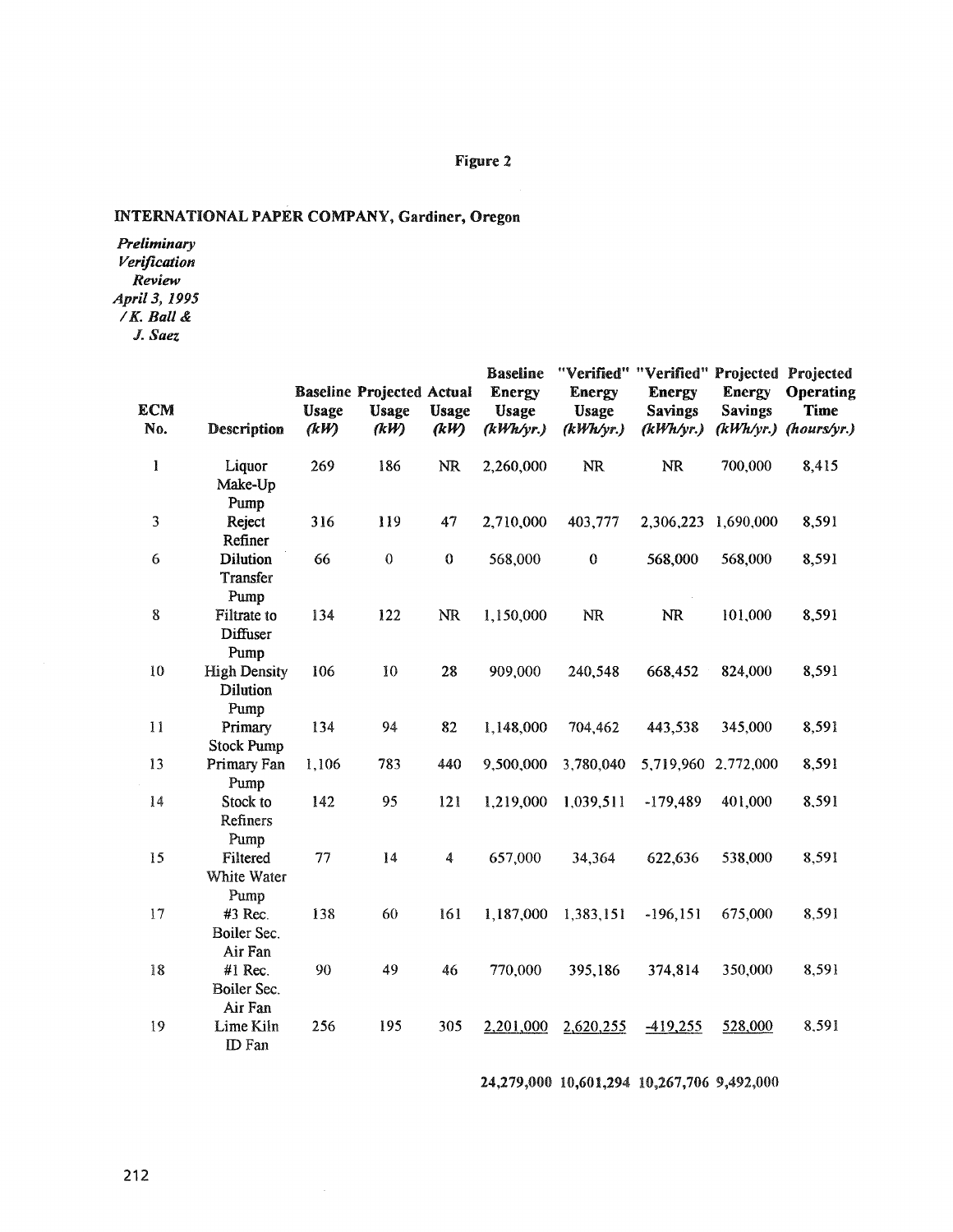# Figure 2

# INTERNATIONAL PAPER COMPANY, Gardiner, Oregon

*Preliminary Verification Review April* 3, 1995 *IK. Ball &* J. *Saez*

| ECM<br>No. | Description                             | <b>Usage</b><br>(kW) | <b>Baseline Projected Actual</b><br><b>Usage</b><br>(kW) | <b>Usage</b><br>(kW) | <b>Baseline</b><br><b>Energy</b><br><b>Usage</b><br>(kWh/yr.) | <b>Energy</b><br><b>Usage</b><br>(kWh/yr.) | "Verified" "Verified" Projected Projected<br><b>Energy</b><br><b>Savings</b><br>(kWh/yr.) | Energy<br><b>Savings</b><br>(kWh/yr.) | Operating<br>Time<br>(hours/yr.) |
|------------|-----------------------------------------|----------------------|----------------------------------------------------------|----------------------|---------------------------------------------------------------|--------------------------------------------|-------------------------------------------------------------------------------------------|---------------------------------------|----------------------------------|
| I          | Liquor<br>Make-Up<br>Pump               | 269                  | 186                                                      | <b>NR</b>            | 2,260,000                                                     | <b>NR</b>                                  | <b>NR</b>                                                                                 | 700,000                               | 8,415                            |
| 3          | Reject<br>Refiner                       | 316                  | 119                                                      | 47                   | 2,710,000                                                     | 403,777                                    | 2,306,223                                                                                 | 1,690,000                             | 8,591                            |
| 6          | <b>Dilution</b><br>Transfer<br>Pump     | 66                   | $\bf{0}$                                                 | $\pmb{0}$            | 568,000                                                       | $\bf{0}$                                   | 568,000                                                                                   | 568,000                               | 8,591                            |
| 8          | Filtrate to<br>Diffuser<br>Pump         | 134                  | 122                                                      | <b>NR</b>            | 1,150,000                                                     | NR                                         | <b>NR</b>                                                                                 | 101,000                               | 8,591                            |
| 10         | <b>High Density</b><br>Dilution<br>Pump | 106                  | 10                                                       | 28                   | 909,000                                                       | 240,548                                    | 668,452                                                                                   | 824,000                               | 8,591                            |
| 11         | Primary<br><b>Stock Pump</b>            | 134                  | 94                                                       | 82                   | 1,148,000                                                     | 704,462                                    | 443,538                                                                                   | 345,000                               | 8,591                            |
| 13         | Primary Fan<br>Pump                     | 1,106                | 783                                                      | 440                  | 9,500,000                                                     | 3,780,040                                  | 5,719,960 2,772,000                                                                       |                                       | 8,591                            |
| 14         | Stock to<br>Refiners<br>Pump            | 142                  | 95                                                       | 121                  | 1,219,000                                                     | 1,039,511                                  | $-179,489$                                                                                | 401,000                               | 8,591                            |
| 15         | Filtered<br>White Water<br>Pump         | 77                   | 14                                                       | $\boldsymbol{4}$     | 657,000                                                       | 34,364                                     | 622,636                                                                                   | 538,000                               | 8,591                            |
| 17         | #3 Rec.<br>Boiler Sec.                  | 138                  | 60                                                       | 161                  | 1,187,000                                                     | 1,383,151                                  | $-196, 151$                                                                               | 675,000                               | 8,591                            |
| 18         | Air Fan<br>#1 Rec.<br>Boiler Sec.       | 90                   | 49                                                       | 46                   | 770,000                                                       | 395,186                                    | 374,814                                                                                   | 350,000                               | 8,591                            |
| 19         | Air Fan<br>Lime Kiln<br>ID Fan          | 256                  | 195                                                      | 305                  | 2,201,000                                                     | 2,620,255                                  | $-419,255$                                                                                | 528,000                               | 8,591                            |

24,279,000 10,601,294 10,267,706 9,492,000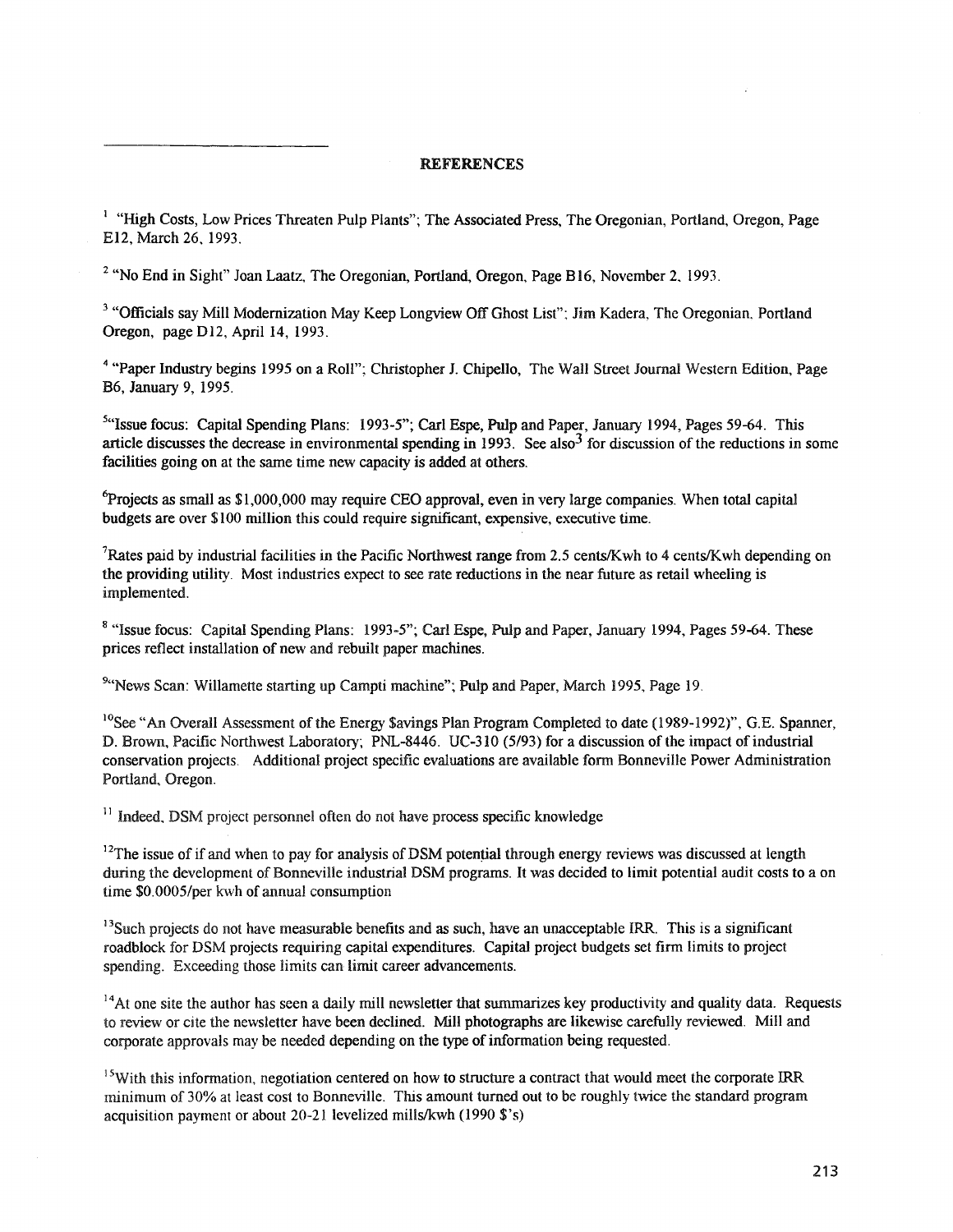## **REFERENCES**

<sup>1</sup> "High Costs, Low Prices Threaten Pulp Plants"; The Associated Press, The Oregonian, Portland, Oregon, Page E12, March 26, 1993.

 $2$  "No End in Sight" Joan Laatz, The Oregonian, Portland, Oregon, Page B16, November 2, 1993.

<sup>3</sup> "Officials say Mill Modernization May Keep Longview Off Ghost List"; Jim Kadera, The Oregonian, Portland Oregon, page D12, April 14, 1993.

<sup>4</sup> "Paper Industry begins 1995 on a Roll"; Christopher J. Chipello, The Wall Street Journal Western Edition, Page B6, January 9, 1995.

<sup>5</sup>"Issue focus: Capital Spending Plans: 1993-5"; Carl Espe, Pulp and Paper, January 1994, Pages 59-64. This article discusses the decrease in environmental spending in 1993. See also<sup>3</sup> for discussion of the reductions in some facilities going on at the same time new capacity is added at others.

 $6$ Projects as small as \$1,000,000 may require CEO approval, even in very large companies. When total capital budgets are over \$100 million this could require significant, expensive, executive time.

<sup>7</sup>Rates paid by industrial facilities in the Pacific Northwest range from 2.5 cents/Kwh to 4 cents/Kwh depending on the providing utility. Most industries expect to see rate reductions in the near future as retail wheeling is implemented.

<sup>8</sup> "Issue focus: Capital Spending Plans: 1993-5"; Carl Espe, Pulp and Paper, January 1994, Pages 59-64. These prices reflect installation of new and rebuilt paper machines.

<sup>9"</sup>News Scan: Willamette starting up Campti machine"; Pulp and Paper, March 1995, Page 19.

<sup>10</sup>See "An Overall Assessment of the Energy Savings Plan Program Completed to date (1989-1992)", G.E. Spanner, D. Brown, Pacific Northwest Laboratory; PNL-8446. UC-310 (5/93) for a discussion of the impact of industrial conservation projects. Additional project specific evaluations are available fonn Bonneville Power Administration Portland, Oregon.

 $11$  Indeed. DSM project personnel often do not have process specific knowledge

 $12$ The issue of if and when to pay for analysis of DSM potential through energy reviews was discussed at length during the development of Bonneville industrial DSM programs. It was decided to limit potential audit costs to a on time \$0.0005/per kwh of annual consumption

<sup>13</sup>Such projects do not have measurable benefits and as such, have an unacceptable IRR. This is a significant roadblock for DSM projects requiring capital expenditures. Capital project budgets set firm limits to project spending. Exceeding those limits can limit career advancements.

 $^{14}$ At one site the author has seen a daily mill newsletter that summarizes key productivity and quality data. Requests to review or cite the newsletter have been declined. Mill photographs are likewise carefully reviewed. Mill and corporate approvals may be needed depending on the type of information being requested.

<sup>15</sup>With this information, negotiation centered on how to structure a contract that would meet the corporate IRR minimum of 30% at least cost to Bonneville. This amount turned out to be roughly twice the standard program acquisition payment or about 20-21 levelized mills/kwh (1990 \$'s)